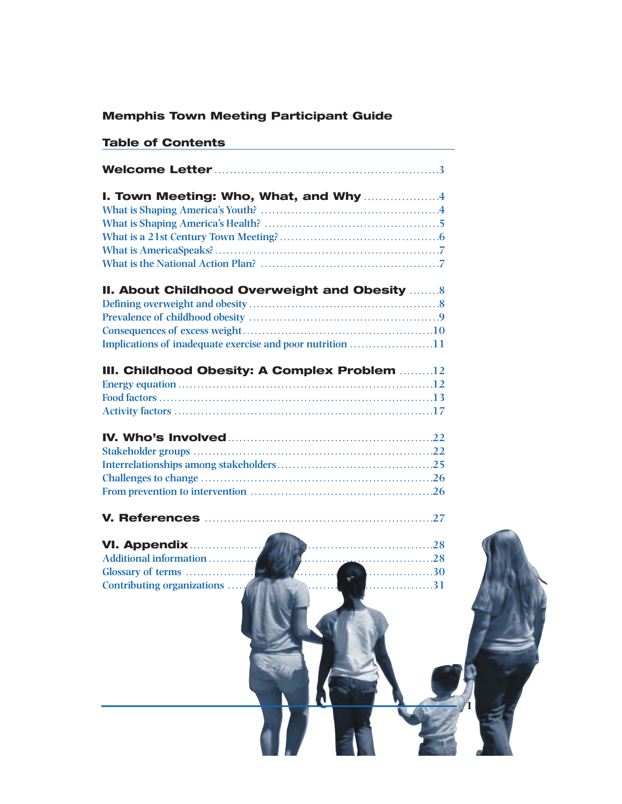| <b>Table of Contents</b>                                  |
|-----------------------------------------------------------|
|                                                           |
| I. Town Meeting: Who, What, and Why 4                     |
|                                                           |
|                                                           |
|                                                           |
|                                                           |
|                                                           |
| II. About Childhood Overweight and Obesity  8             |
|                                                           |
|                                                           |
|                                                           |
| Implications of inadequate exercise and poor nutrition 11 |
| III. Childhood Obesity: A Complex Problem 12              |
|                                                           |
|                                                           |
|                                                           |
|                                                           |
|                                                           |
|                                                           |
|                                                           |
|                                                           |
|                                                           |
| VI. Appendix                                              |
| Additional information                                    |
| L 19<br>Glossary of terms<br>. 30                         |
| Contributing organizations<br>. 31                        |
|                                                           |

**1**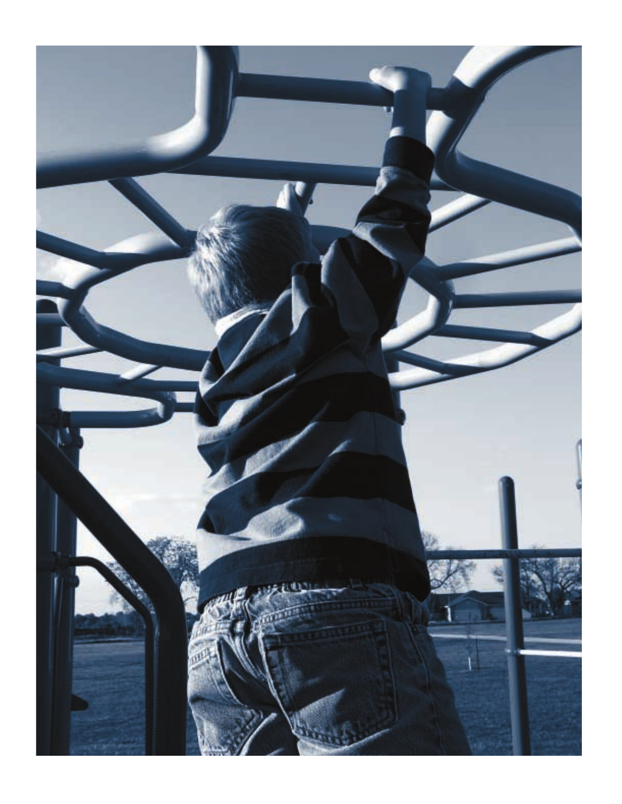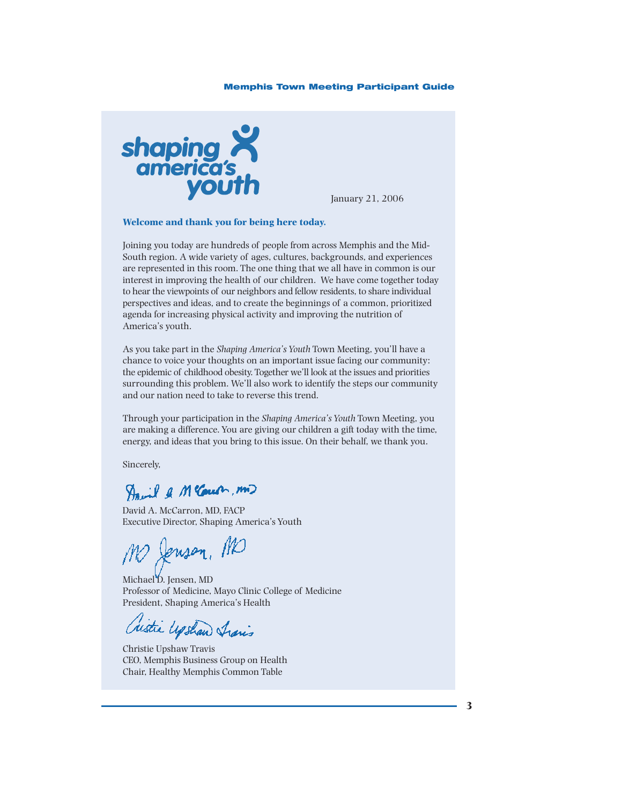

January 21, 2006

### **Welcome and thank you for being here today.**

Joining you today are hundreds of people from across Memphis and the Mid-South region. A wide variety of ages, cultures, backgrounds, and experiences are represented in this room. The one thing that we all have in common is our interest in improving the health of our children. We have come together today to hear the viewpoints of our neighbors and fellow residents, to share individual perspectives and ideas, and to create the beginnings of a common, prioritized agenda for increasing physical activity and improving the nutrition of America's youth.

As you take part in the *Shaping America's Youth* Town Meeting, you'll have a chance to voice your thoughts on an important issue facing our community: the epidemic of childhood obesity. Together we'll look at the issues and priorities surrounding this problem. We'll also work to identify the steps our community and our nation need to take to reverse this trend.

Through your participation in the *Shaping America's Youth* Town Meeting, you are making a difference. You are giving our children a gift today with the time, energy, and ideas that you bring to this issue. On their behalf, we thank you.

Sincerely,

And a M Coun m

David A. McCarron, MD, FACP Executive Director, Shaping America's Youth

Jensen, MO

Michael D. Jensen, MD Professor of Medicine, Mayo Clinic College of Medicine President, Shaping America's Health

Cristic Upshaw Araris

Christie Upshaw Travis CEO, Memphis Business Group on Health Chair, Healthy Memphis Common Table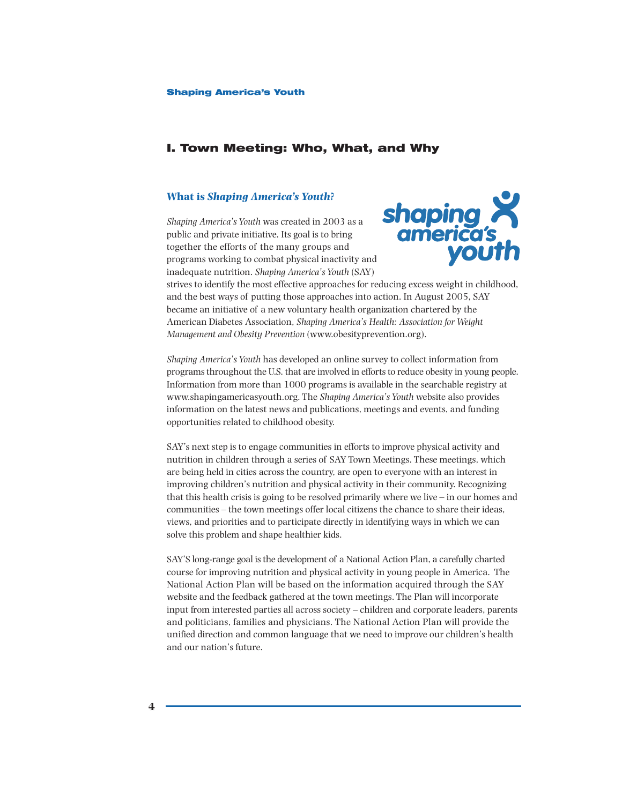### **I. Town Meeting: Who, What, and Why**

### **What is** *Shaping America's Youth***?**

*Shaping America's Youth* was created in 2003 as a public and private initiative. Its goal is to bring together the efforts of the many groups and programs working to combat physical inactivity and inadequate nutrition. *Shaping America's Youth* (SAY)



strives to identify the most effective approaches for reducing excess weight in childhood, and the best ways of putting those approaches into action. In August 2005, SAY became an initiative of a new voluntary health organization chartered by the American Diabetes Association, *Shaping America's Health: Association for Weight Management and Obesity Prevention* (www.obesityprevention.org).

*Shaping America's Youth* has developed an online survey to collect information from programs throughout the U.S. that are involved in efforts to reduce obesity in young people. Information from more than 1000 programs is available in the searchable registry at www.shapingamericasyouth.org. The *Shaping America's Youth* website also provides information on the latest news and publications, meetings and events, and funding opportunities related to childhood obesity.

SAY's next step is to engage communities in efforts to improve physical activity and nutrition in children through a series of SAY Town Meetings. These meetings, which are being held in cities across the country, are open to everyone with an interest in improving children's nutrition and physical activity in their community. Recognizing that this health crisis is going to be resolved primarily where we live – in our homes and communities – the town meetings offer local citizens the chance to share their ideas, views, and priorities and to participate directly in identifying ways in which we can solve this problem and shape healthier kids.

SAY'S long-range goal is the development of a National Action Plan, a carefully charted course for improving nutrition and physical activity in young people in America. The National Action Plan will be based on the information acquired through the SAY website and the feedback gathered at the town meetings. The Plan will incorporate input from interested parties all across society – children and corporate leaders, parents and politicians, families and physicians. The National Action Plan will provide the unified direction and common language that we need to improve our children's health and our nation's future.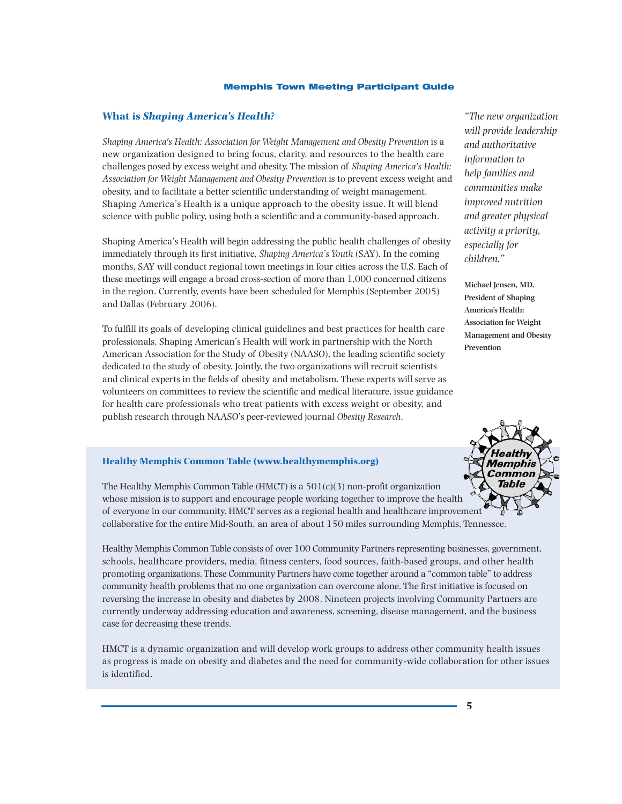### **What is** *Shaping America's Health***?**

*Shaping America's Health: Association for Weight Management and Obesity Prevention* is a new organization designed to bring focus, clarity, and resources to the health care challenges posed by excess weight and obesity. The mission of *Shaping America's Health: Association for Weight Management and Obesity Prevention* is to prevent excess weight and obesity, and to facilitate a better scientific understanding of weight management. Shaping America's Health is a unique approach to the obesity issue. It will blend science with public policy, using both a scientific and a community-based approach.

Shaping America's Health will begin addressing the public health challenges of obesity immediately through its first initiative, *Shaping America's Youth* (SAY). In the coming months, SAY will conduct regional town meetings in four cities across the U.S. Each of these meetings will engage a broad cross-section of more than 1,000 concerned citizens in the region. Currently, events have been scheduled for Memphis (September 2005) and Dallas (February 2006).

To fulfill its goals of developing clinical guidelines and best practices for health care professionals, Shaping American's Health will work in partnership with the North American Association for the Study of Obesity (NAASO), the leading scientific society dedicated to the study of obesity. Jointly, the two organizations will recruit scientists and clinical experts in the fields of obesity and metabolism. These experts will serve as volunteers on committees to review the scientific and medical literature, issue guidance for health care professionals who treat patients with excess weight or obesity, and publish research through NAASO's peer-reviewed journal *Obesity Research*.

*"The new organization will provide leadership and authoritative information to help families and communities make improved nutrition and greater physical activity a priority, especially for children."*

**Michael Jensen, MD, President of Shaping America's Health: Association for Weight Management and Obesity Prevention**

### **Healthy Memphis Common Table (www.healthymemphis.org)**

The Healthy Memphis Common Table (HMCT) is a 501(c)(3) non-profit organization whose mission is to support and encourage people working together to improve the health of everyone in our community. HMCT serves as a regional health and healthcare improvement collaborative for the entire Mid-South, an area of about 150 miles surrounding Memphis, Tennessee.

Healthy Memphis Common Table consists of over 100 Community Partners representing businesses, government, schools, healthcare providers, media, fitness centers, food sources, faith-based groups, and other health promoting organizations. These Community Partners have come together around a "common table" to address community health problems that no one organization can overcome alone. The first initiative is focused on reversing the increase in obesity and diabetes by 2008. Nineteen projects involving Community Partners are currently underway addressing education and awareness, screening, disease management, and the business case for decreasing these trends.

HMCT is a dynamic organization and will develop work groups to address other community health issues as progress is made on obesity and diabetes and the need for community-wide collaboration for other issues is identified.

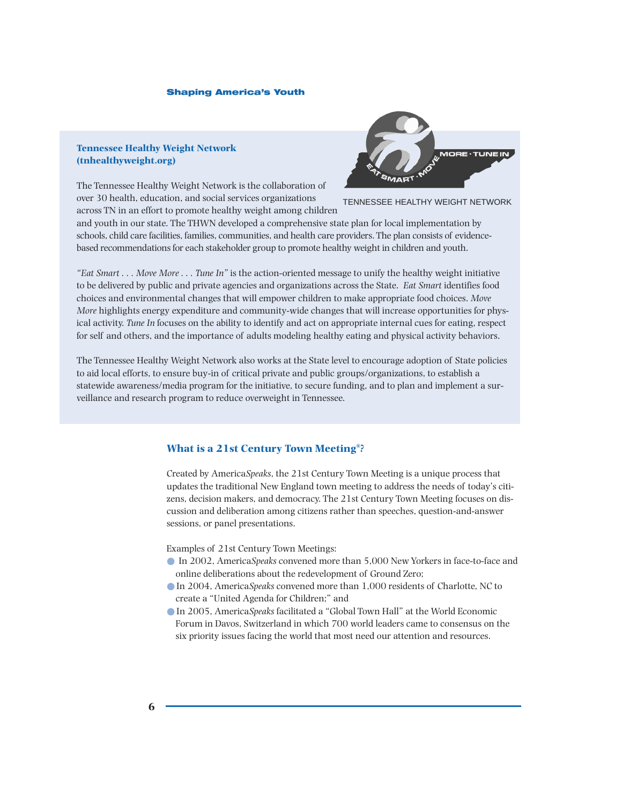### **Tennessee Healthy Weight Network (tnhealthyweight.org)**

The Tennessee Healthy Weight Network is the collaboration of over 30 health, education, and social services organizations across TN in an effort to promote healthy weight among children



TENNESSEE HEALTHY WEIGHT NETWORK

and youth in our state. The THWN developed a comprehensive state plan for local implementation by schools, child care facilities, families, communities, and health care providers. The plan consists of evidencebased recommendations for each stakeholder group to promote healthy weight in children and youth.

*"Eat Smart . . . Move More . . . Tune In"* is the action-oriented message to unify the healthy weight initiative to be delivered by public and private agencies and organizations across the State. *Eat Smart* identifies food choices and environmental changes that will empower children to make appropriate food choices. *Move More* highlights energy expenditure and community-wide changes that will increase opportunities for physical activity. *Tune In* focuses on the ability to identify and act on appropriate internal cues for eating, respect for self and others, and the importance of adults modeling healthy eating and physical activity behaviors.

The Tennessee Healthy Weight Network also works at the State level to encourage adoption of State policies to aid local efforts, to ensure buy-in of critical private and public groups/organizations, to establish a statewide awareness/media program for the initiative, to secure funding, and to plan and implement a surveillance and research program to reduce overweight in Tennessee.

### **What is a 21st Century Town Meeting®?**

Created by America*Speaks*, the 21st Century Town Meeting is a unique process that updates the traditional New England town meeting to address the needs of today's citizens, decision makers, and democracy. The 21st Century Town Meeting focuses on discussion and deliberation among citizens rather than speeches, question-and-answer sessions, or panel presentations.

Examples of 21st Century Town Meetings:

- In 2002, America*Speaks* convened more than 5,000 New Yorkers in face-to-face and online deliberations about the redevelopment of Ground Zero;
- In 2004, America*Speaks* convened more than 1,000 residents of Charlotte, NC to create a "United Agenda for Children;" and
- In 2005, America*Speaks* facilitated a "Global Town Hall" at the World Economic Forum in Davos, Switzerland in which 700 world leaders came to consensus on the six priority issues facing the world that most need our attention and resources.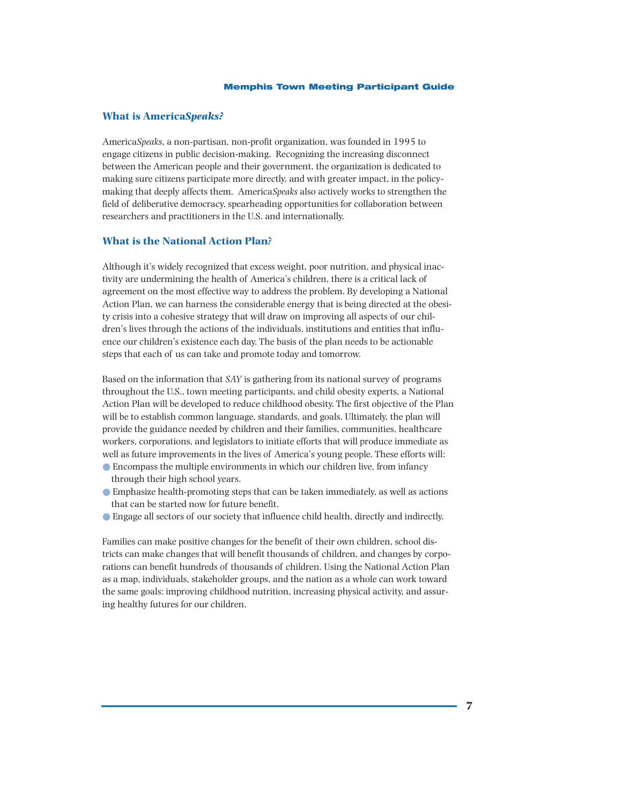### **What is America***Speaks?*

America*Speaks*, a non-partisan, non-profit organization, was founded in 1995 to engage citizens in public decision-making. Recognizing the increasing disconnect between the American people and their government, the organization is dedicated to making sure citizens participate more directly, and with greater impact, in the policymaking that deeply affects them. America*Speaks* also actively works to strengthen the field of deliberative democracy, spearheading opportunities for collaboration between researchers and practitioners in the U.S. and internationally.

### **What is the National Action Plan?**

Although it's widely recognized that excess weight, poor nutrition, and physical inactivity are undermining the health of America's children, there is a critical lack of agreement on the most effective way to address the problem. By developing a National Action Plan, we can harness the considerable energy that is being directed at the obesity crisis into a cohesive strategy that will draw on improving all aspects of our children's lives through the actions of the individuals, institutions and entities that influence our children's existence each day. The basis of the plan needs to be actionable steps that each of us can take and promote today and tomorrow.

Based on the information that *SAY* is gathering from its national survey of programs throughout the U.S., town meeting participants, and child obesity experts, a National Action Plan will be developed to reduce childhood obesity. The first objective of the Plan will be to establish common language, standards, and goals. Ultimately, the plan will provide the guidance needed by children and their families, communities, healthcare workers, corporations, and legislators to initiate efforts that will produce immediate as well as future improvements in the lives of America's young people. These efforts will:

- Encompass the multiple environments in which our children live, from infancy through their high school years.
- Emphasize health-promoting steps that can be taken immediately, as well as actions that can be started now for future benefit.
- Engage all sectors of our society that influence child health, directly and indirectly.

Families can make positive changes for the benefit of their own children, school districts can make changes that will benefit thousands of children, and changes by corporations can benefit hundreds of thousands of children. Using the National Action Plan as a map, individuals, stakeholder groups, and the nation as a whole can work toward the same goals: improving childhood nutrition, increasing physical activity, and assuring healthy futures for our children.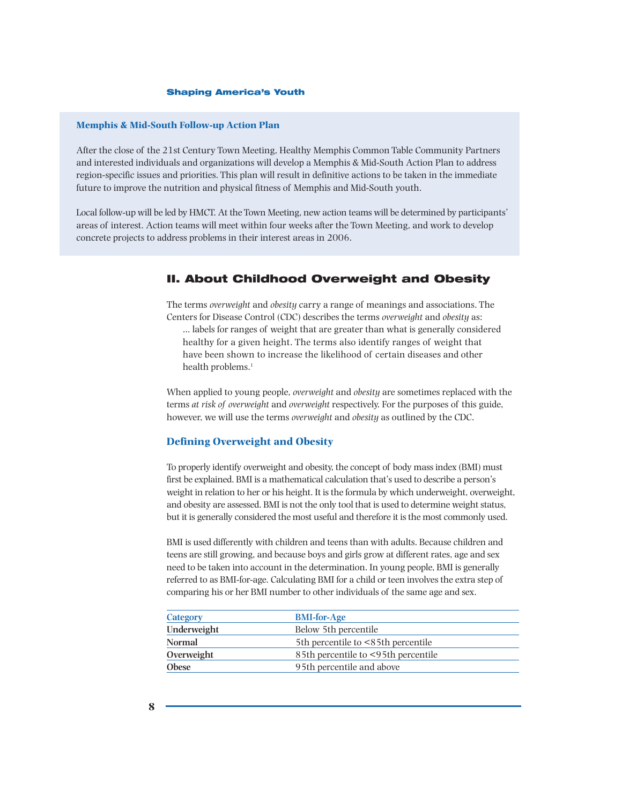#### **Memphis & Mid-South Follow-up Action Plan**

After the close of the 21st Century Town Meeting, Healthy Memphis Common Table Community Partners and interested individuals and organizations will develop a Memphis & Mid-South Action Plan to address region-specific issues and priorities. This plan will result in definitive actions to be taken in the immediate future to improve the nutrition and physical fitness of Memphis and Mid-South youth.

Local follow-up will be led by HMCT. At the Town Meeting, new action teams will be determined by participants' areas of interest. Action teams will meet within four weeks after the Town Meeting, and work to develop concrete projects to address problems in their interest areas in 2006.

### **II. About Childhood Overweight and Obesity**

The terms *overweight* and *obesity* carry a range of meanings and associations. The Centers for Disease Control (CDC) describes the terms *overweight* and *obesity* as:

… labels for ranges of weight that are greater than what is generally considered healthy for a given height. The terms also identify ranges of weight that have been shown to increase the likelihood of certain diseases and other health problems.<sup>1</sup>

When applied to young people, *overweight* and *obesity* are sometimes replaced with the terms *at risk of overweight* and *overweight* respectively. For the purposes of this guide, however, we will use the terms *overweight* and *obesity* as outlined by the CDC.

### **Defining Overweight and Obesity**

To properly identify overweight and obesity, the concept of body mass index (BMI) must first be explained. BMI is a mathematical calculation that's used to describe a person's weight in relation to her or his height. It is the formula by which underweight, overweight, and obesity are assessed. BMI is not the only tool that is used to determine weight status, but it is generally considered the most useful and therefore it is the most commonly used.

BMI is used differently with children and teens than with adults. Because children and teens are still growing, and because boys and girls grow at different rates, age and sex need to be taken into account in the determination. In young people, BMI is generally referred to as BMI-for-age. Calculating BMI for a child or teen involves the extra step of comparing his or her BMI number to other individuals of the same age and sex.

| Category     | <b>BMI-for-Age</b>                  |  |  |
|--------------|-------------------------------------|--|--|
| Underweight  | Below 5th percentile                |  |  |
| Normal       | 5th percentile to <85th percentile  |  |  |
| Overweight   | 85th percentile to <95th percentile |  |  |
| <b>Obese</b> | 95th percentile and above           |  |  |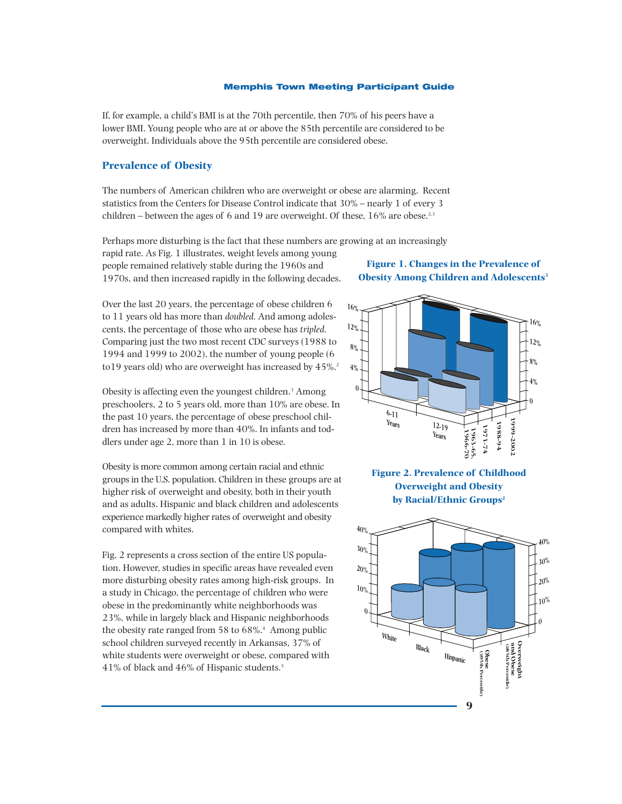If, for example, a child's BMI is at the 70th percentile, then 70% of his peers have a lower BMI. Young people who are at or above the 85th percentile are considered to be overweight. Individuals above the 95th percentile are considered obese.

### **Prevalence of Obesity**

The numbers of American children who are overweight or obese are alarming. Recent statistics from the Centers for Disease Control indicate that 30% – nearly 1 of every 3 children – between the ages of  $6$  and  $19$  are overweight. Of these,  $16\%$  are obese.<sup>2,3</sup>

Perhaps more disturbing is the fact that these numbers are growing at an increasingly

rapid rate. As Fig. 1 illustrates, weight levels among young people remained relatively stable during the 1960s and 1970s, and then increased rapidly in the following decades.

Over the last 20 years, the percentage of obese children 6 to 11 years old has more than *doubled*. And among adolescents, the percentage of those who are obese has *tripled*. Comparing just the two most recent CDC surveys (1988 to 1994 and 1999 to 2002), the number of young people (6 to 19 years old) who are overweight has increased by  $45\%$ .

Obesity is affecting even the youngest children.<sup>3</sup> Among preschoolers, 2 to 5 years old, more than 10% are obese. In the past 10 years, the percentage of obese preschool children has increased by more than 40%. In infants and toddlers under age 2, more than 1 in 10 is obese.

Obesity is more common among certain racial and ethnic groups in the U.S. population. Children in these groups are at higher risk of overweight and obesity, both in their youth and as adults. Hispanic and black children and adolescents experience markedly higher rates of overweight and obesity compared with whites.

Fig. 2 represents a cross section of the entire US population. However, studies in specific areas have revealed even more disturbing obesity rates among high-risk groups. In a study in Chicago, the percentage of children who were obese in the predominantly white neighborhoods was 23%, while in largely black and Hispanic neighborhoods the obesity rate ranged from 58 to 68%.<sup>4</sup> Among public school children surveyed recently in Arkansas, 37% of white students were overweight or obese, compared with 41% of black and 46% of Hispanic students.5

### **Figure 1. Changes in the Prevalence of Obesity Among Children and Adolescents<sup>3</sup>**





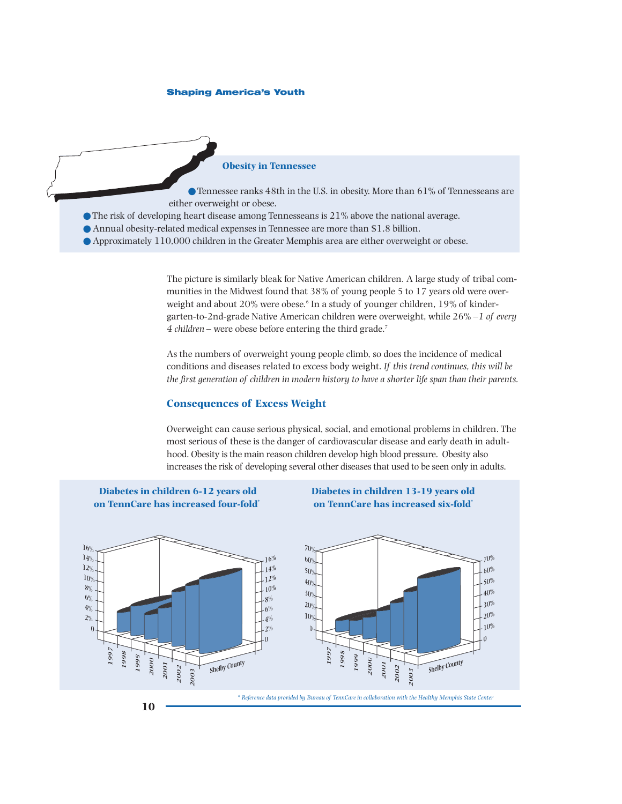**Obesity in Tennessee**

- Tennessee ranks 48th in the U.S. in obesity. More than 61% of Tennesseans are either overweight or obese.
- $\bullet$  The risk of developing heart disease among Tennesseans is 21% above the national average.
- Annual obesity-related medical expenses in Tennessee are more than \$1.8 billion.
- Approximately 110,000 children in the Greater Memphis area are either overweight or obese.

The picture is similarly bleak for Native American children. A large study of tribal communities in the Midwest found that 38% of young people 5 to 17 years old were overweight and about 20% were obese. <sup>6</sup> In a study of younger children, 19% of kindergarten-to-2nd-grade Native American children were overweight, while 26% *–1 of every 4 children –* were obese before entering the third grade. 7

As the numbers of overweight young people climb, so does the incidence of medical conditions and diseases related to excess body weight. *If this trend continues, this will be the first generation of children in modern history to have a shorter life span than their parents.*

### **Consequences of Excess Weight**

Overweight can cause serious physical, social, and emotional problems in children. The most serious of these is the danger of cardiovascular disease and early death in adulthood. Obesity is the main reason children develop high blood pressure. Obesity also increases the risk of developing several other diseases that used to be seen only in adults.



**10**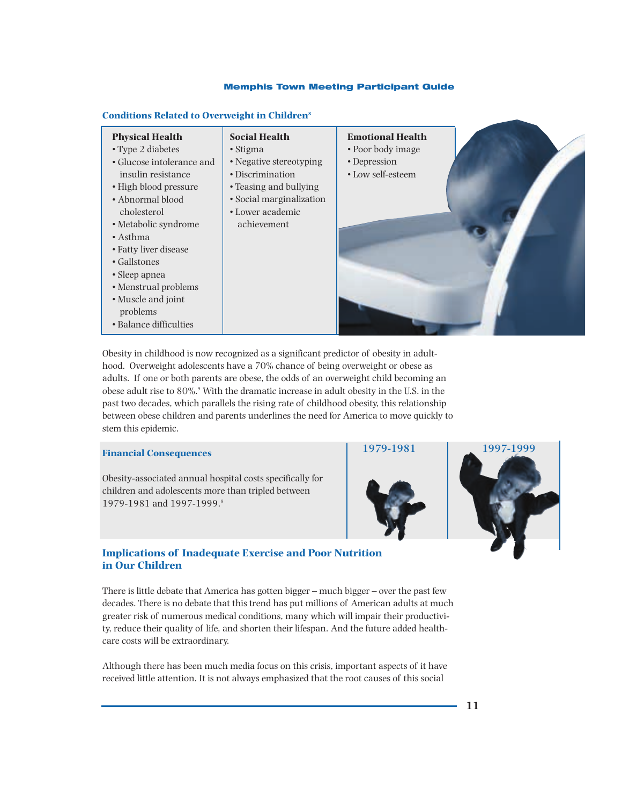#### **Physical Health** • Type 2 diabetes • Glucose intolerance and insulin resistance • High blood pressure • Abnormal blood cholesterol • Metabolic syndrome • Asthma • Fatty liver disease • Gallstones • Sleep apnea • Menstrual problems • Muscle and joint problems • Balance difficulties **Social Health** • Stigma • Negative stereotyping • Discrimination • Teasing and bullying • Social marginalization • Lower academic achievement **Emotional Health** • Poor body image • Depression • Low self-esteem

### **Conditions Related to Overweight in Children8**

Obesity in childhood is now recognized as a significant predictor of obesity in adulthood. Overweight adolescents have a 70% chance of being overweight or obese as adults. If one or both parents are obese, the odds of an overweight child becoming an obese adult rise to 80%.<sup>9</sup> With the dramatic increase in adult obesity in the U.S. in the past two decades, which parallels the rising rate of childhood obesity, this relationship between obese children and parents underlines the need for America to move quickly to stem this epidemic.

### **Financial Consequences**

Obesity-associated annual hospital costs specifically for children and adolescents more than tripled between 1979-1981 and 1997-1999.<sup>8</sup>





### **Implications of Inadequate Exercise and Poor Nutrition in Our Children**

There is little debate that America has gotten bigger – much bigger – over the past few decades. There is no debate that this trend has put millions of American adults at much greater risk of numerous medical conditions, many which will impair their productivity, reduce their quality of life, and shorten their lifespan. And the future added healthcare costs will be extraordinary.

Although there has been much media focus on this crisis, important aspects of it have received little attention. It is not always emphasized that the root causes of this social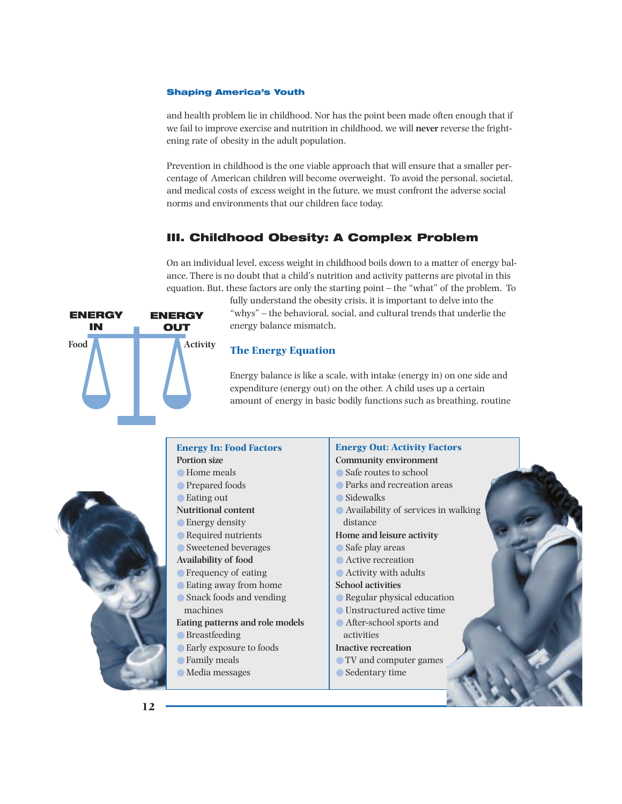and health problem lie in childhood. Nor has the point been made often enough that if we fail to improve exercise and nutrition in childhood, we will **never** reverse the frightening rate of obesity in the adult population.

Prevention in childhood is the one viable approach that will ensure that a smaller percentage of American children will become overweight. To avoid the personal, societal, and medical costs of excess weight in the future, we must confront the adverse social norms and environments that our children face today.

### **III. Childhood Obesity: A Complex Problem**

On an individual level, excess weight in childhood boils down to a matter of energy balance. There is no doubt that a child's nutrition and activity patterns are pivotal in this equation. But, these factors are only the starting point – the "what" of the problem. To



- 
- Eating out
- **Nutritional content**
- $\bullet$  Energy density
- Required nutrients
- Sweetened beverages
- **Availability of food**
- Frequency of eating
- Eating away from home
- Snack foods and vending
- machines

### **Eating patterns and role models**

- Breastfeeding
- Early exposure to foods
- Family meals
- Media messages

# **Energy Out: Activity Factors**

- Parks and recreation areas
- $\bullet$  Sidewalks
- Availability of services in walking distance

### **Home and leisure activity**

- Safe play areas
- Active recreation
- Activity with adults

### **School activities**

- Regular physical education
- $\bullet$  Unstructured active time
- After-school sports and

#### **Inactive recreation**

activities

- TV and computer games
- Sedentary time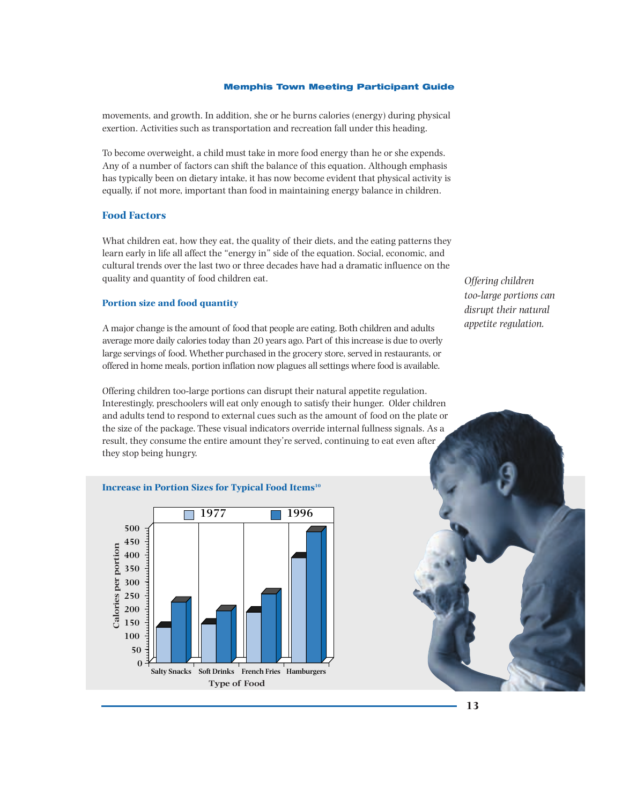movements, and growth. In addition, she or he burns calories (energy) during physical exertion. Activities such as transportation and recreation fall under this heading.

To become overweight, a child must take in more food energy than he or she expends. Any of a number of factors can shift the balance of this equation. Although emphasis has typically been on dietary intake, it has now become evident that physical activity is equally, if not more, important than food in maintaining energy balance in children.

### **Food Factors**

What children eat, how they eat, the quality of their diets, and the eating patterns they learn early in life all affect the "energy in" side of the equation. Social, economic, and cultural trends over the last two or three decades have had a dramatic influence on the quality and quantity of food children eat.

### **Portion size and food quantity**

A major change is the amount of food that people are eating. Both children and adults average more daily calories today than 20 years ago. Part of this increase is due to overly large servings of food. Whether purchased in the grocery store, served in restaurants, or offered in home meals, portion inflation now plagues all settings where food is available.

Offering children too-large portions can disrupt their natural appetite regulation. Interestingly, preschoolers will eat only enough to satisfy their hunger. Older children and adults tend to respond to external cues such as the amount of food on the plate or the size of the package. These visual indicators override internal fullness signals. As a result, they consume the entire amount they're served, continuing to eat even after they stop being hungry.





**13**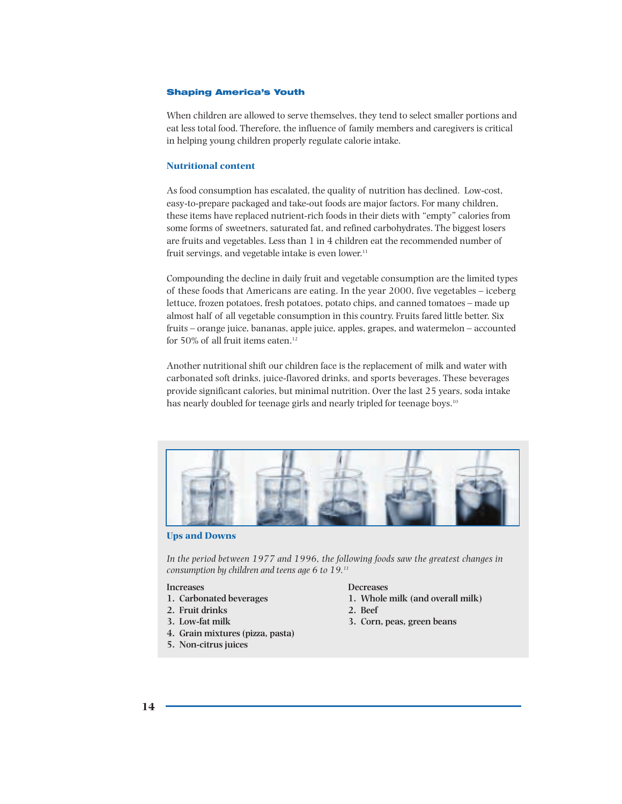When children are allowed to serve themselves, they tend to select smaller portions and eat less total food. Therefore, the influence of family members and caregivers is critical in helping young children properly regulate calorie intake.

### **Nutritional content**

As food consumption has escalated, the quality of nutrition has declined. Low-cost, easy-to-prepare packaged and take-out foods are major factors. For many children, these items have replaced nutrient-rich foods in their diets with "empty" calories from some forms of sweetners, saturated fat, and refined carbohydrates. The biggest losers are fruits and vegetables. Less than 1 in 4 children eat the recommended number of fruit servings, and vegetable intake is even lower.<sup>11</sup>

Compounding the decline in daily fruit and vegetable consumption are the limited types of these foods that Americans are eating. In the year 2000, five vegetables – iceberg lettuce, frozen potatoes, fresh potatoes, potato chips, and canned tomatoes – made up almost half of all vegetable consumption in this country. Fruits fared little better. Six fruits – orange juice, bananas, apple juice, apples, grapes, and watermelon – accounted for 50% of all fruit items eaten. $12$ 

Another nutritional shift our children face is the replacement of milk and water with carbonated soft drinks, juice-flavored drinks, and sports beverages. These beverages provide significant calories, but minimal nutrition. Over the last 25 years, soda intake has nearly doubled for teenage girls and nearly tripled for teenage boys.<sup>10</sup>



### **Ups and Downs**

*In the period between 1977 and 1996, the following foods saw the greatest changes in consumption by children and teens age 6 to 19.11*

### **Increases**

- **1. Carbonated beverages**
- **2. Fruit drinks**
- **3. Low-fat milk**
- **4. Grain mixtures (pizza, pasta)**
- **5. Non-citrus juices**

**Decreases**

- **1. Whole milk (and overall milk)**
- **2. Beef**
- **3. Corn, peas, green beans**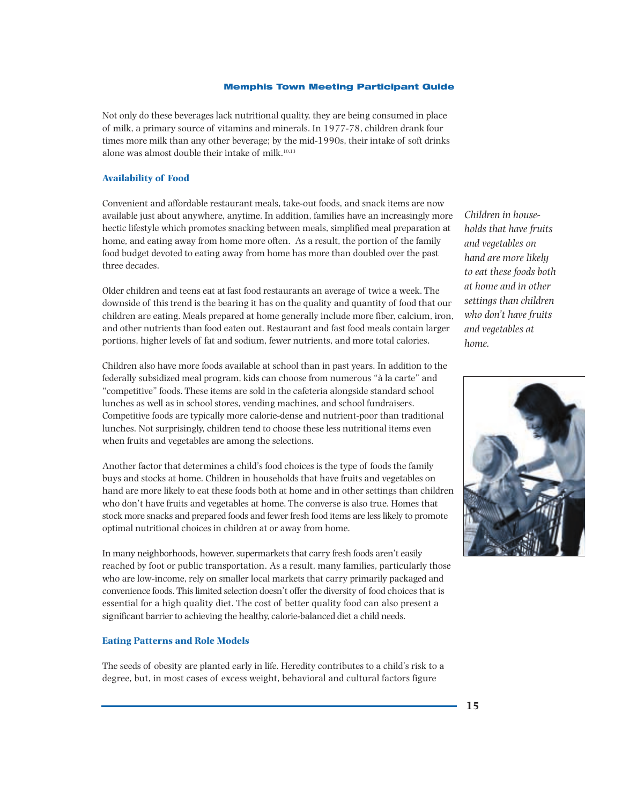Not only do these beverages lack nutritional quality, they are being consumed in place of milk, a primary source of vitamins and minerals. In 1977-78, children drank four times more milk than any other beverage; by the mid-1990s, their intake of soft drinks alone was almost double their intake of milk.10,13

### **Availability of Food**

Convenient and affordable restaurant meals, take-out foods, and snack items are now available just about anywhere, anytime. In addition, families have an increasingly more hectic lifestyle which promotes snacking between meals, simplified meal preparation at home, and eating away from home more often. As a result, the portion of the family food budget devoted to eating away from home has more than doubled over the past three decades.

Older children and teens eat at fast food restaurants an average of twice a week. The downside of this trend is the bearing it has on the quality and quantity of food that our children are eating. Meals prepared at home generally include more fiber, calcium, iron, and other nutrients than food eaten out. Restaurant and fast food meals contain larger portions, higher levels of fat and sodium, fewer nutrients, and more total calories.

Children also have more foods available at school than in past years. In addition to the federally subsidized meal program, kids can choose from numerous "à la carte" and "competitive" foods. These items are sold in the cafeteria alongside standard school lunches as well as in school stores, vending machines, and school fundraisers. Competitive foods are typically more calorie-dense and nutrient-poor than traditional lunches. Not surprisingly, children tend to choose these less nutritional items even when fruits and vegetables are among the selections.

Another factor that determines a child's food choices is the type of foods the family buys and stocks at home. Children in households that have fruits and vegetables on hand are more likely to eat these foods both at home and in other settings than children who don't have fruits and vegetables at home. The converse is also true. Homes that stock more snacks and prepared foods and fewer fresh food items are less likely to promote optimal nutritional choices in children at or away from home.

In many neighborhoods, however, supermarkets that carry fresh foods aren't easily reached by foot or public transportation. As a result, many families, particularly those who are low-income, rely on smaller local markets that carry primarily packaged and convenience foods. This limited selection doesn't offer the diversity of food choices that is essential for a high quality diet. The cost of better quality food can also present a significant barrier to achieving the healthy, calorie-balanced diet a child needs.

### **Eating Patterns and Role Models**

The seeds of obesity are planted early in life. Heredity contributes to a child's risk to a degree, but, in most cases of excess weight, behavioral and cultural factors figure

*Children in households that have fruits and vegetables on hand are more likely to eat these foods both at home and in other settings than children who don't have fruits and vegetables at home.*

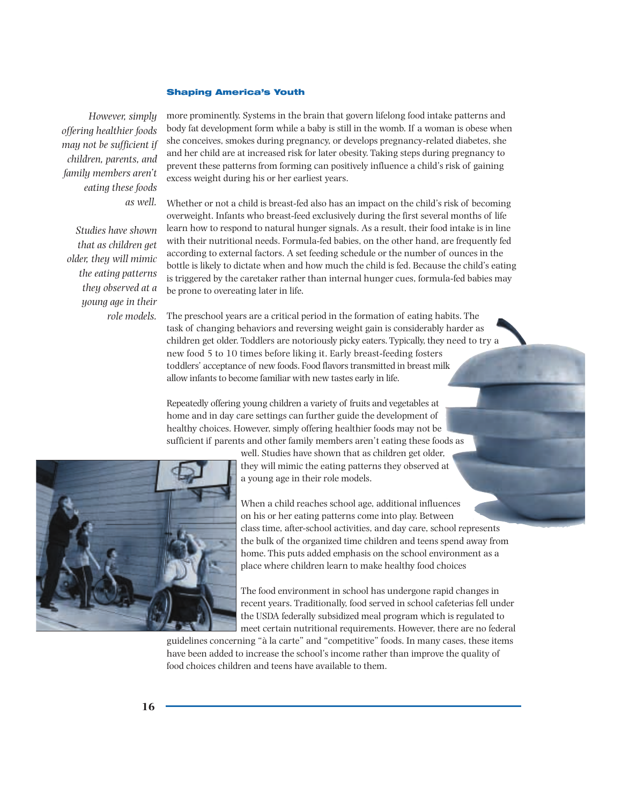*However, simply offering healthier foods may not be sufficient if children, parents, and family members aren't eating these foods as well.* 

*Studies have shown that as children get older, they will mimic the eating patterns they observed at a young age in their role models.* 

more prominently. Systems in the brain that govern lifelong food intake patterns and body fat development form while a baby is still in the womb. If a woman is obese when she conceives, smokes during pregnancy, or develops pregnancy-related diabetes, she and her child are at increased risk for later obesity. Taking steps during pregnancy to prevent these patterns from forming can positively influence a child's risk of gaining excess weight during his or her earliest years.

Whether or not a child is breast-fed also has an impact on the child's risk of becoming overweight. Infants who breast-feed exclusively during the first several months of life learn how to respond to natural hunger signals. As a result, their food intake is in line with their nutritional needs. Formula-fed babies, on the other hand, are frequently fed according to external factors. A set feeding schedule or the number of ounces in the bottle is likely to dictate when and how much the child is fed. Because the child's eating is triggered by the caretaker rather than internal hunger cues, formula-fed babies may be prone to overeating later in life.

The preschool years are a critical period in the formation of eating habits. The task of changing behaviors and reversing weight gain is considerably harder as children get older. Toddlers are notoriously picky eaters. Typically, they need to try a new food 5 to 10 times before liking it. Early breast-feeding fosters toddlers' acceptance of new foods. Food flavors transmitted in breast milk allow infants to become familiar with new tastes early in life.

Repeatedly offering young children a variety of fruits and vegetables at home and in day care settings can further guide the development of healthy choices. However, simply offering healthier foods may not be sufficient if parents and other family members aren't eating these foods as



well. Studies have shown that as children get older, they will mimic the eating patterns they observed at a young age in their role models.

When a child reaches school age, additional influences on his or her eating patterns come into play. Between class time, after-school activities, and day care, school represents the bulk of the organized time children and teens spend away from home. This puts added emphasis on the school environment as a place where children learn to make healthy food choices

The food environment in school has undergone rapid changes in recent years. Traditionally, food served in school cafeterias fell under the USDA federally subsidized meal program which is regulated to meet certain nutritional requirements. However, there are no federal

guidelines concerning "à la carte" and "competitive" foods. In many cases, these items have been added to increase the school's income rather than improve the quality of food choices children and teens have available to them.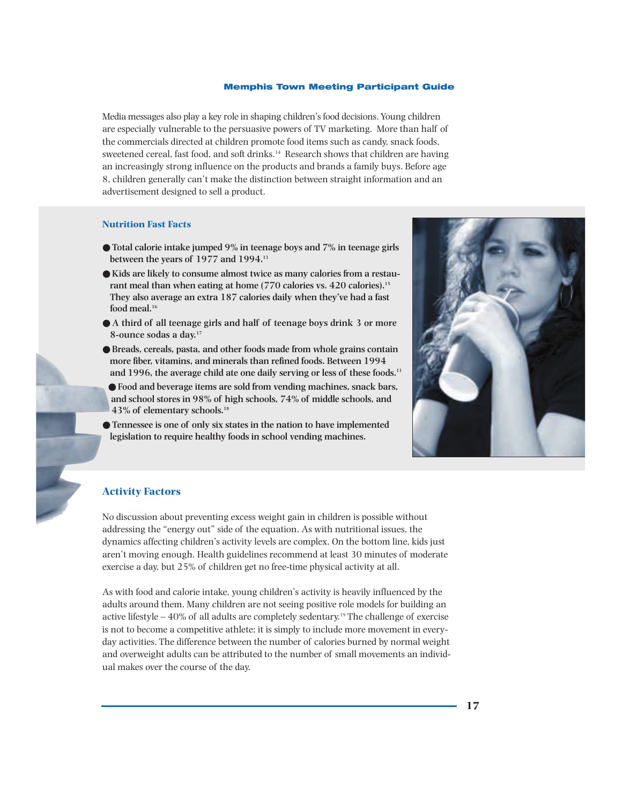Media messages also play a key role in shaping children's food decisions. Young children are especially vulnerable to the persuasive powers of TV marketing. More than half of the commercials directed at children promote food items such as candy, snack foods, sweetened cereal, fast food, and soft drinks.<sup>14</sup> Research shows that children are having an increasingly strong influence on the products and brands a family buys. Before age 8, children generally can't make the distinction between straight information and an advertisement designed to sell a product.

### **Nutrition Fast Facts**

- **Total calorie intake jumped 9% in teenage boys and 7% in teenage girls between the years of 1977 and 1994.11**
- **Kids are likely to consume almost twice as many calories from a restau**rant meal than when eating at home (770 calories vs. 420 calories).<sup>15</sup> **They also average an extra 187 calories daily when they've had a fast food meal.16**
- **A third of all teenage girls and half of teenage boys drink 3 or more 8-ounce sodas a day. 17**
- **Breads, cereals, pasta, and other foods made from whole grains contain more fiber, vitamins, and minerals than refined foods. Between 1994 and 1996, the average child ate one daily serving or less of these foods.11**
- **Food and beverage items are sold from vending machines, snack bars, and school stores in 98% of high schools, 74% of middle schools, and 43% of elementary schools.18**
- **Tennessee is one of only six states in the nation to have implemented legislation to require healthy foods in school vending machines.**



### **Activity Factors**

No discussion about preventing excess weight gain in children is possible without addressing the "energy out" side of the equation. As with nutritional issues, the dynamics affecting children's activity levels are complex. On the bottom line, kids just aren't moving enough. Health guidelines recommend at least 30 minutes of moderate exercise a day, but 25% of children get no free-time physical activity at all.

As with food and calorie intake, young children's activity is heavily influenced by the adults around them. Many children are not seeing positive role models for building an active lifestyle – 40% of all adults are completely sedentary. <sup>19</sup> The challenge of exercise is not to become a competitive athlete; it is simply to include more movement in everyday activities. The difference between the number of calories burned by normal weight and overweight adults can be attributed to the number of small movements an individual makes over the course of the day.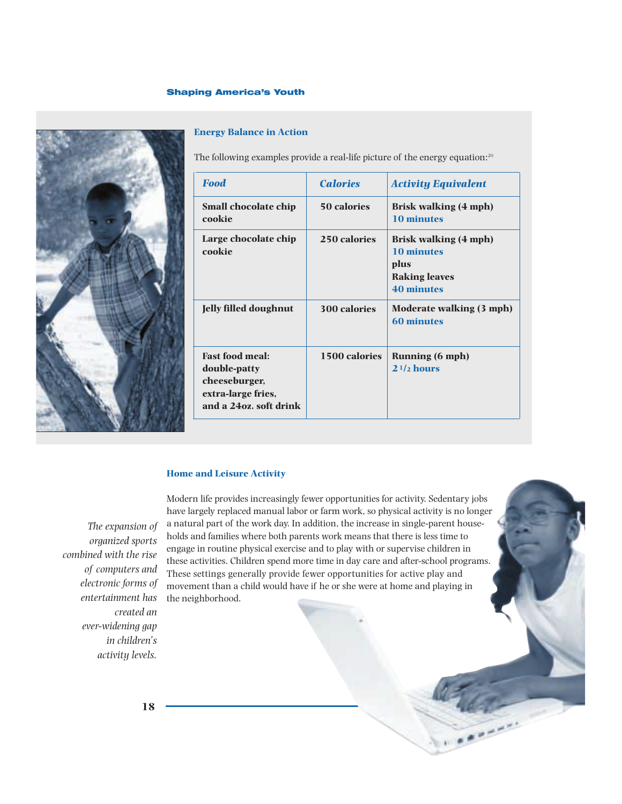

### **Energy Balance in Action**

The following examples provide a real-life picture of the energy equation:<sup>20</sup>

| <b>Food</b>                                                                                             | <b>Calories</b> | <b>Activity Equivalent</b>                                                               |
|---------------------------------------------------------------------------------------------------------|-----------------|------------------------------------------------------------------------------------------|
| <b>Small chocolate chip</b><br>cookie                                                                   | 50 calories     | Brisk walking (4 mph)<br>10 minutes                                                      |
| Large chocolate chip<br>cookie                                                                          | 250 calories    | Brisk walking (4 mph)<br>10 minutes<br>plus<br><b>Raking leaves</b><br><b>40 minutes</b> |
| <b>Jelly filled doughnut</b>                                                                            | 300 calories    | <b>Moderate walking (3 mph)</b><br><b>60 minutes</b>                                     |
| <b>Fast food meal:</b><br>double-patty<br>cheeseburger,<br>extra-large fries,<br>and a 24oz, soft drink | 1500 calories   | Running (6 mph)<br>2 <sup>1</sup> / <sub>2</sub> hours                                   |

### **Home and Leisure Activity**

*The expansion of organized sports combined with the rise of computers and electronic forms of entertainment has created an ever-widening gap in children's activity levels.* 

Modern life provides increasingly fewer opportunities for activity. Sedentary jobs have largely replaced manual labor or farm work, so physical activity is no longer a natural part of the work day. In addition, the increase in single-parent households and families where both parents work means that there is less time to engage in routine physical exercise and to play with or supervise children in these activities. Children spend more time in day care and after-school programs. These settings generally provide fewer opportunities for active play and movement than a child would have if he or she were at home and playing in the neighborhood.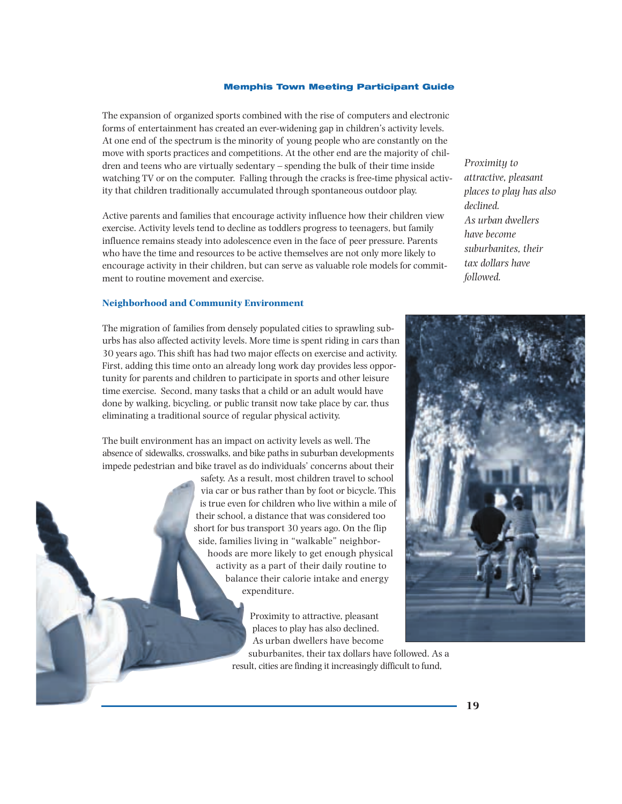The expansion of organized sports combined with the rise of computers and electronic forms of entertainment has created an ever-widening gap in children's activity levels. At one end of the spectrum is the minority of young people who are constantly on the move with sports practices and competitions. At the other end are the majority of children and teens who are virtually sedentary – spending the bulk of their time inside watching TV or on the computer. Falling through the cracks is free-time physical activity that children traditionally accumulated through spontaneous outdoor play.

Active parents and families that encourage activity influence how their children view exercise. Activity levels tend to decline as toddlers progress to teenagers, but family influence remains steady into adolescence even in the face of peer pressure. Parents who have the time and resources to be active themselves are not only more likely to encourage activity in their children, but can serve as valuable role models for commitment to routine movement and exercise.

### **Neighborhood and Community Environment**

The migration of families from densely populated cities to sprawling suburbs has also affected activity levels. More time is spent riding in cars than 30 years ago. This shift has had two major effects on exercise and activity. First, adding this time onto an already long work day provides less opportunity for parents and children to participate in sports and other leisure time exercise. Second, many tasks that a child or an adult would have done by walking, bicycling, or public transit now take place by car, thus eliminating a traditional source of regular physical activity.

The built environment has an impact on activity levels as well. The absence of sidewalks, crosswalks, and bike paths in suburban developments impede pedestrian and bike travel as do individuals' concerns about their

> safety. As a result, most children travel to school via car or bus rather than by foot or bicycle. This is true even for children who live within a mile of their school, a distance that was considered too short for bus transport 30 years ago. On the flip side, families living in "walkable" neighborhoods are more likely to get enough physical activity as a part of their daily routine to balance their calorie intake and energy expenditure.

> > Proximity to attractive, pleasant places to play has also declined. As urban dwellers have become

suburbanites, their tax dollars have followed. As a result, cities are finding it increasingly difficult to fund,

*Proximity to attractive, pleasant places to play has also declined. As urban dwellers have become suburbanites, their tax dollars have followed.*

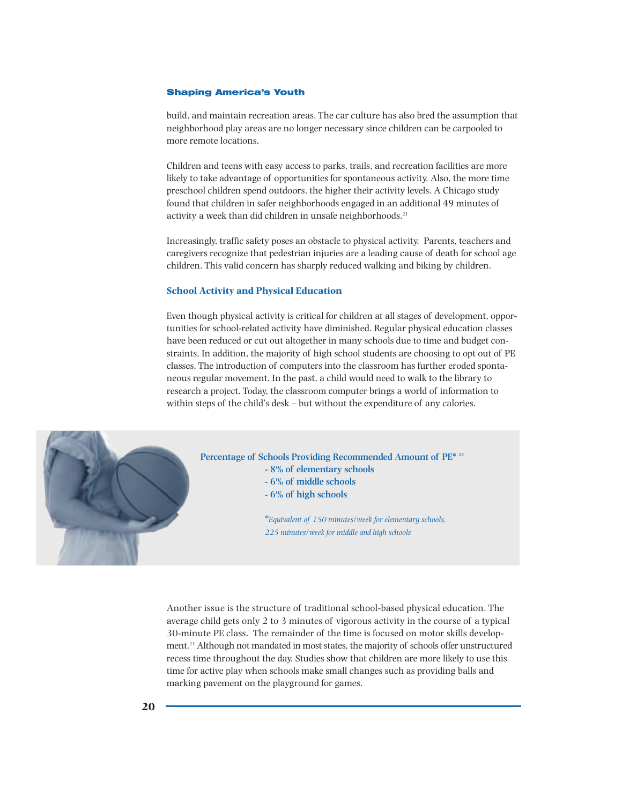build, and maintain recreation areas. The car culture has also bred the assumption that neighborhood play areas are no longer necessary since children can be carpooled to more remote locations.

Children and teens with easy access to parks, trails, and recreation facilities are more likely to take advantage of opportunities for spontaneous activity. Also, the more time preschool children spend outdoors, the higher their activity levels. A Chicago study found that children in safer neighborhoods engaged in an additional 49 minutes of activity a week than did children in unsafe neighborhoods.<sup>21</sup>

Increasingly, traffic safety poses an obstacle to physical activity. Parents, teachers and caregivers recognize that pedestrian injuries are a leading cause of death for school age children. This valid concern has sharply reduced walking and biking by children.

### **School Activity and Physical Education**

Even though physical activity is critical for children at all stages of development, opportunities for school-related activity have diminished. Regular physical education classes have been reduced or cut out altogether in many schools due to time and budget constraints. In addition, the majority of high school students are choosing to opt out of PE classes. The introduction of computers into the classroom has further eroded spontaneous regular movement. In the past, a child would need to walk to the library to research a project. Today, the classroom computer brings a world of information to within steps of the child's desk – but without the expenditure of any calories.



Another issue is the structure of traditional school-based physical education. The average child gets only 2 to 3 minutes of vigorous activity in the course of a typical 30-minute PE class. The remainder of the time is focused on motor skills development.23 Although not mandated in most states, the majority of schools offer unstructured recess time throughout the day. Studies show that children are more likely to use this time for active play when schools make small changes such as providing balls and marking pavement on the playground for games.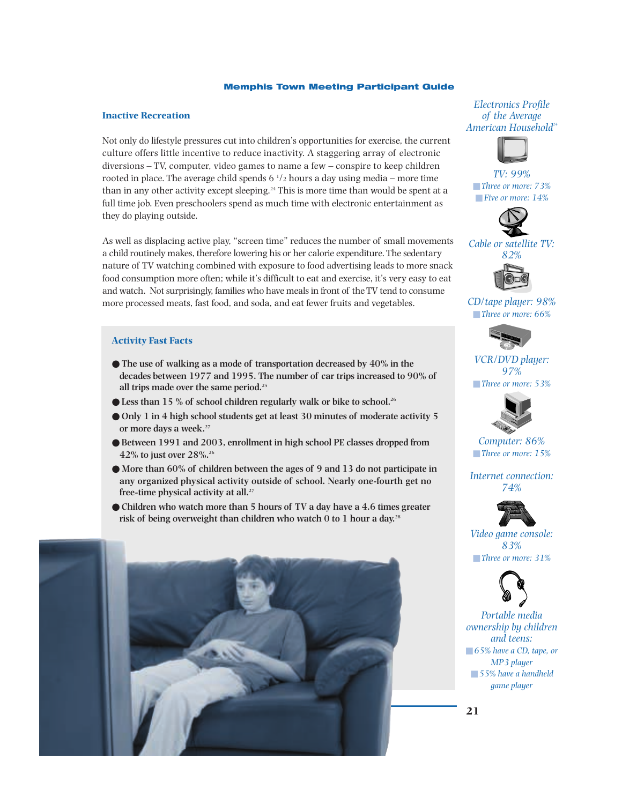### **Inactive Recreation**

Not only do lifestyle pressures cut into children's opportunities for exercise, the current culture offers little incentive to reduce inactivity. A staggering array of electronic diversions – TV, computer, video games to name a few – conspire to keep children rooted in place. The average child spends  $6\frac{1}{2}$  hours a day using media – more time than in any other activity except sleeping.<sup>24</sup> This is more time than would be spent at a full time job. Even preschoolers spend as much time with electronic entertainment as they do playing outside.

As well as displacing active play, "screen time" reduces the number of small movements a child routinely makes, therefore lowering his or her calorie expenditure. The sedentary nature of TV watching combined with exposure to food advertising leads to more snack food consumption more often; while it's difficult to eat and exercise, it's very easy to eat and watch. Not surprisingly, families who have meals in front of the TV tend to consume more processed meats, fast food, and soda, and eat fewer fruits and vegetables.

### **Activity Fast Facts**

- **The use of walking as a mode of transportation decreased by 40% in the decades between 1977 and 1995. The number of car trips increased to 90% of all trips made over the same period.25**
- **Less than 15 % of school children regularly walk or bike to school.26**
- **Only 1 in 4 high school students get at least 30 minutes of moderate activity 5 or more days a week.27**
- **Between 1991 and 2003, enrollment in high school PE classes dropped from 42% to just over 28%.26**
- **More than 60% of children between the ages of 9 and 13 do not participate in any organized physical activity outside of school. Nearly one-fourth get no free-time physical activity at all.27**
- **Children who watch more than 5 hours of TV a day have a 4.6 times greater risk of being overweight than children who watch 0 to 1 hour a day. 28**



*Electronics Profile of the Average* **American Household**<sup>24</sup>



*TV: 99%* ■ *Three or more:* 73% ■ *Five or more:* 14%



*Cable or satellite TV: 82%*



*CD/tape player: 98%* ■ *Three or more:* 66%



*VCR/DVD player: 97%* ■ *Three or more:* 53%



*Computer: 86%* ■ *Three or more:* 15%

*Internet connection: 74%* 



*Video game console: 83%* ■ *Three or more:* 31%



*Portable media ownership by children and teens:* ■ **65%** have a CD, tape, or *MP3 player* ■ 55% have a handheld *game player*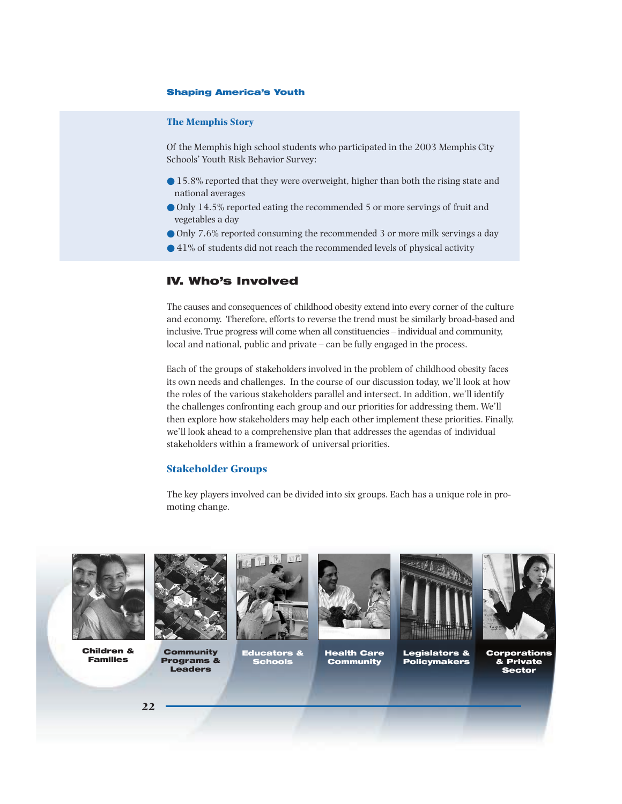### **The Memphis Story**

Of the Memphis high school students who participated in the 2003 Memphis City Schools' Youth Risk Behavior Survey:

- 15.8% reported that they were overweight, higher than both the rising state and national averages
- Only 14.5% reported eating the recommended 5 or more servings of fruit and vegetables a day
- Only 7.6% reported consuming the recommended 3 or more milk servings a day
- 41% of students did not reach the recommended levels of physical activity

### **IV. Who's Involved**

The causes and consequences of childhood obesity extend into every corner of the culture and economy. Therefore, efforts to reverse the trend must be similarly broad-based and inclusive. True progress will come when all constituencies – individual and community, local and national, public and private – can be fully engaged in the process.

Each of the groups of stakeholders involved in the problem of childhood obesity faces its own needs and challenges. In the course of our discussion today, we'll look at how the roles of the various stakeholders parallel and intersect. In addition, we'll identify the challenges confronting each group and our priorities for addressing them. We'll then explore how stakeholders may help each other implement these priorities. Finally, we'll look ahead to a comprehensive plan that addresses the agendas of individual stakeholders within a framework of universal priorities.

### **Stakeholder Groups**

The key players involved can be divided into six groups. Each has a unique role in promoting change.



**Children & Families**



**Community Programs & Leaders**



**Educators & Schools**



**Health Care Community**



**Legislators & Policymakers**



**Corporations & Private Sector**

**22**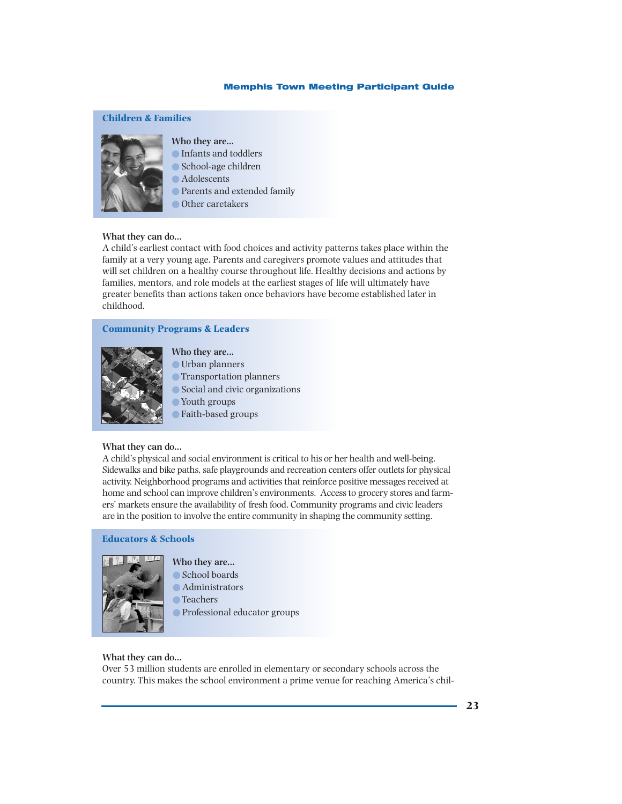### **Children & Families**



### **Who they are...**

- Infants and toddlers
- School-age children
- Adolescents
- Parents and extended family
- Other caretakers

### **What they can do...**

A child's earliest contact with food choices and activity patterns takes place within the family at a very young age. Parents and caregivers promote values and attitudes that will set children on a healthy course throughout life. Healthy decisions and actions by families, mentors, and role models at the earliest stages of life will ultimately have greater benefits than actions taken once behaviors have become established later in childhood.

### **Community Programs & Leaders**



### **Who they are...** ● Urban planners

- Transportation planners
- Social and civic organizations
- Youth groups
- Faith-based groups

### **What they can do...**

A child's physical and social environment is critical to his or her health and well-being. Sidewalks and bike paths, safe playgrounds and recreation centers offer outlets for physical activity. Neighborhood programs and activities that reinforce positive messages received at home and school can improve children's environments. Access to grocery stores and farmers' markets ensure the availability of fresh food. Community programs and civic leaders are in the position to involve the entire community in shaping the community setting.

### **Educators & Schools**



### **Who they are...**

- School boards
- Administrators
- Teachers
- Professional educator groups

### **What they can do...**

Over 53 million students are enrolled in elementary or secondary schools across the country. This makes the school environment a prime venue for reaching America's chil-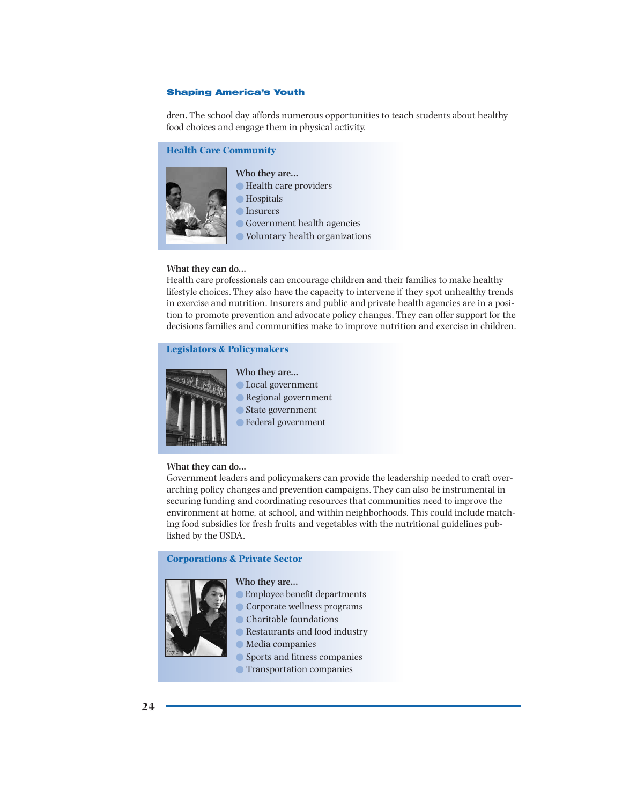dren. The school day affords numerous opportunities to teach students about healthy food choices and engage them in physical activity.

### **Health Care Community**



**Who they are...** ● Health care providers ● Hospitals ● Insurers  $\bullet$  Government health agencies ● Voluntary health organizations

### **What they can do...**

Health care professionals can encourage children and their families to make healthy lifestyle choices. They also have the capacity to intervene if they spot unhealthy trends in exercise and nutrition. Insurers and public and private health agencies are in a position to promote prevention and advocate policy changes. They can offer support for the decisions families and communities make to improve nutrition and exercise in children.

### **Legislators & Policymakers**



### **Who they are...**

● Local government

● Regional government

● State government

● Federal government

#### **What they can do...**

Government leaders and policymakers can provide the leadership needed to craft overarching policy changes and prevention campaigns. They can also be instrumental in securing funding and coordinating resources that communities need to improve the environment at home, at school, and within neighborhoods. This could include matching food subsidies for fresh fruits and vegetables with the nutritional guidelines published by the USDA.

### **Corporations & Private Sector**



### **Who they are...**

● Employee benefit departments

- Corporate wellness programs
- Charitable foundations
- Restaurants and food industry
- Media companies
- Sports and fitness companies
- Transportation companies

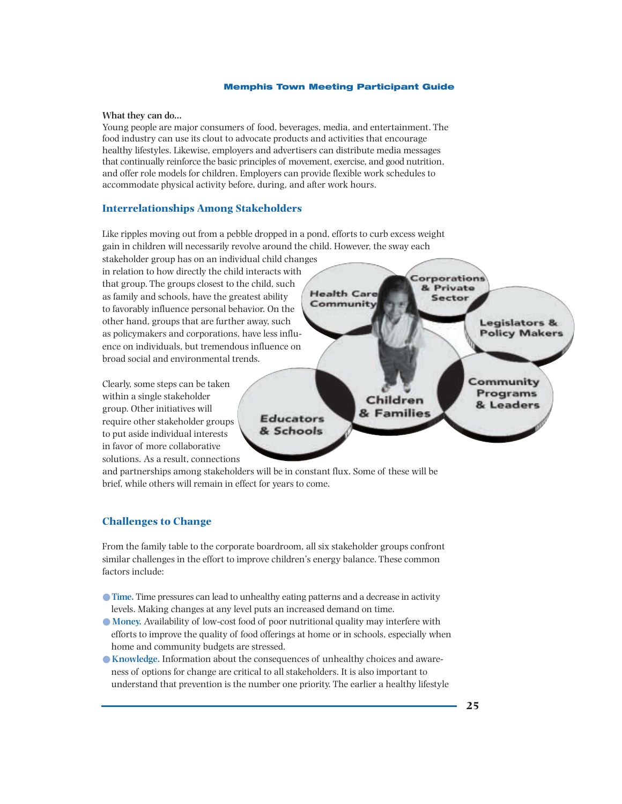**Health Care** 

**Community** 

Children

& Families

### **What they can do...**

Young people are major consumers of food, beverages, media, and entertainment. The food industry can use its clout to advocate products and activities that encourage healthy lifestyles. Likewise, employers and advertisers can distribute media messages that continually reinforce the basic principles of movement, exercise, and good nutrition, and offer role models for children. Employers can provide flexible work schedules to accommodate physical activity before, during, and after work hours.

### **Interrelationships Among Stakeholders**

Like ripples moving out from a pebble dropped in a pond, efforts to curb excess weight gain in children will necessarily revolve around the child. However, the sway each

stakeholder group has on an individual child changes in relation to how directly the child interacts with that group. The groups closest to the child, such as family and schools, have the greatest ability to favorably influence personal behavior. On the other hand, groups that are further away, such as policymakers and corporations, have less influence on individuals, but tremendous influence on broad social and environmental trends.

brief, while others will remain in effect for years to come.

Clearly, some steps can be taken within a single stakeholder group. Other initiatives will require other stakeholder groups to put aside individual interests in favor of more collaborative solutions. As a result, connections

and partnerships among stakeholders will be in constant flux. Some of these will be

**Educators** & Schools

### **Challenges to Change**

From the family table to the corporate boardroom, all six stakeholder groups confront similar challenges in the effort to improve children's energy balance. These common factors include:

- **Time.** Time pressures can lead to unhealthy eating patterns and a decrease in activity levels. Making changes at any level puts an increased demand on time.
- **Money.** Availability of low-cost food of poor nutritional quality may interfere with efforts to improve the quality of food offerings at home or in schools, especially when home and community budgets are stressed.
- **Knowledge.** Information about the consequences of unhealthy choices and awareness of options for change are critical to all stakeholders. It is also important to understand that prevention is the number one priority. The earlier a healthy lifestyle

Corporations & Private

Sector

Legislators & **Policy Makers** 

Community Programs

& Leaders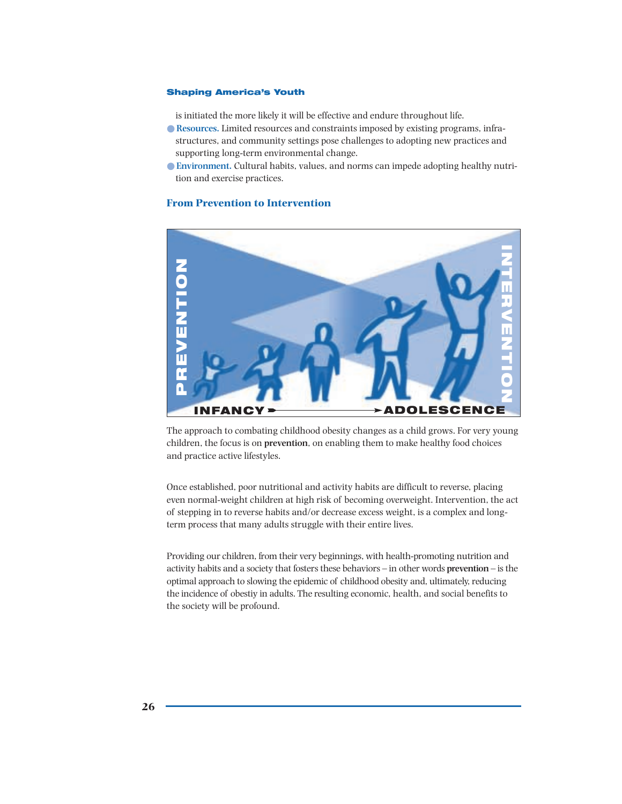is initiated the more likely it will be effective and endure throughout life.

- **Resources.** Limited resources and constraints imposed by existing programs, infrastructures, and community settings pose challenges to adopting new practices and supporting long-term environmental change.
- **Environment.** Cultural habits, values, and norms can impede adopting healthy nutrition and exercise practices.

### **From Prevention to Intervention**



The approach to combating childhood obesity changes as a child grows. For very young children, the focus is on **prevention**, on enabling them to make healthy food choices and practice active lifestyles.

Once established, poor nutritional and activity habits are difficult to reverse, placing even normal-weight children at high risk of becoming overweight. Intervention, the act of stepping in to reverse habits and/or decrease excess weight, is a complex and longterm process that many adults struggle with their entire lives.

Providing our children, from their very beginnings, with health-promoting nutrition and activity habits and a society that fosters these behaviors – in other words **prevention** – is the optimal approach to slowing the epidemic of childhood obesity and, ultimately, reducing the incidence of obestiy in adults. The resulting economic, health, and social benefits to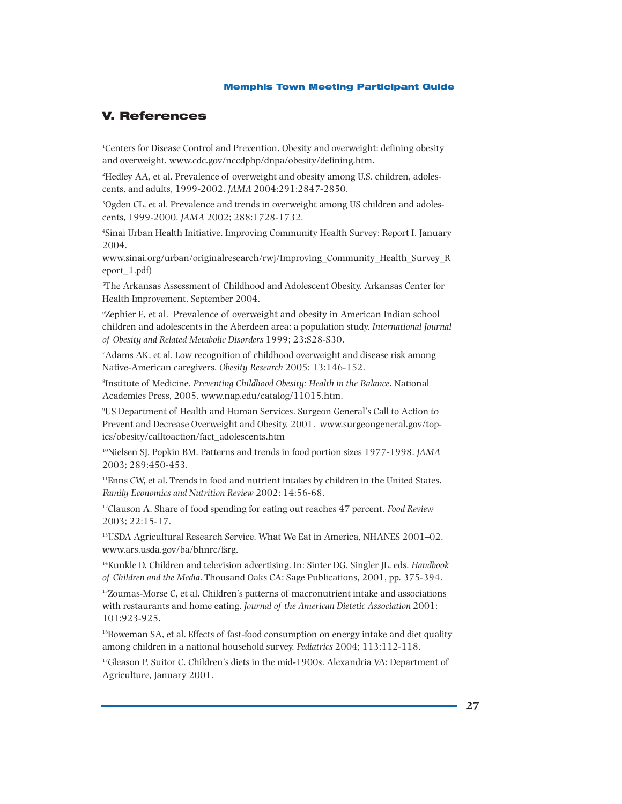### **V. References**

<sup>1</sup>Centers for Disease Control and Prevention. Obesity and overweight: defining obesity and overweight. www.cdc.gov/nccdphp/dnpa/obesity/defining.htm.

2 Hedley AA, et al. Prevalence of overweight and obesity among U.S. children, adolescents, and adults, 1999-2002. *JAMA* 2004:291:2847-2850.

3 Ogden CL, et al. Prevalence and trends in overweight among US children and adolescents, 1999-2000. *JAMA* 2002; 288:1728-1732.

4 Sinai Urban Health Initiative. Improving Community Health Survey: Report I. January 2004.

www.sinai.org/urban/originalresearch/rwj/Improving\_Community\_Health\_Survey\_R eport\_1.pdf)

5 The Arkansas Assessment of Childhood and Adolescent Obesity. Arkansas Center for Health Improvement, September 2004.

6 Zephier E, et al. Prevalence of overweight and obesity in American Indian school children and adolescents in the Aberdeen area: a population study. *International Journal of Obesity and Related Metabolic Disorders* 1999; 23:S28-S30.

7 Adams AK, et al. Low recognition of childhood overweight and disease risk among Native-American caregivers. *Obesity Research* 2005; 13:146-152.

8 Institute of Medicine. *Preventing Childhood Obesity: Health in the Balance*. National Academies Press, 2005. www.nap.edu/catalog/11015.htm.

9 US Department of Health and Human Services. Surgeon General's Call to Action to Prevent and Decrease Overweight and Obesity, 2001. www.surgeongeneral.gov/topics/obesity/calltoaction/fact\_adolescents.htm

10Nielsen SJ, Popkin BM. Patterns and trends in food portion sizes 1977-1998. *JAMA* 2003; 289:450-453.

<sup>11</sup>Enns CW, et al. Trends in food and nutrient intakes by children in the United States. *Family Economics and Nutrition Review* 2002; 14:56-68.

12Clauson A. Share of food spending for eating out reaches 47 percent. *Food Review* 2003; 22:15-17.

13USDA Agricultural Research Service. What We Eat in America, NHANES 2001–02. www.ars.usda.gov/ba/bhnrc/fsrg.

14Kunkle D. Children and television advertising. In: Sinter DG, Singler JL, eds. *Handbook of Children and the Media*. Thousand Oaks CA: Sage Publications, 2001, pp. 375-394.

<sup>15</sup>Zoumas-Morse C, et al. Children's patterns of macronutrient intake and associations with restaurants and home eating. *Journal of the American Dietetic Association* 2001; 101:923-925.

<sup>16</sup>Boweman SA, et al. Effects of fast-food consumption on energy intake and diet quality among children in a national household survey. *Pediatrics* 2004; 113:112-118.

<sup>17</sup>Gleason P, Suitor C. Children's diets in the mid-1900s. Alexandria VA: Department of Agriculture, January 2001.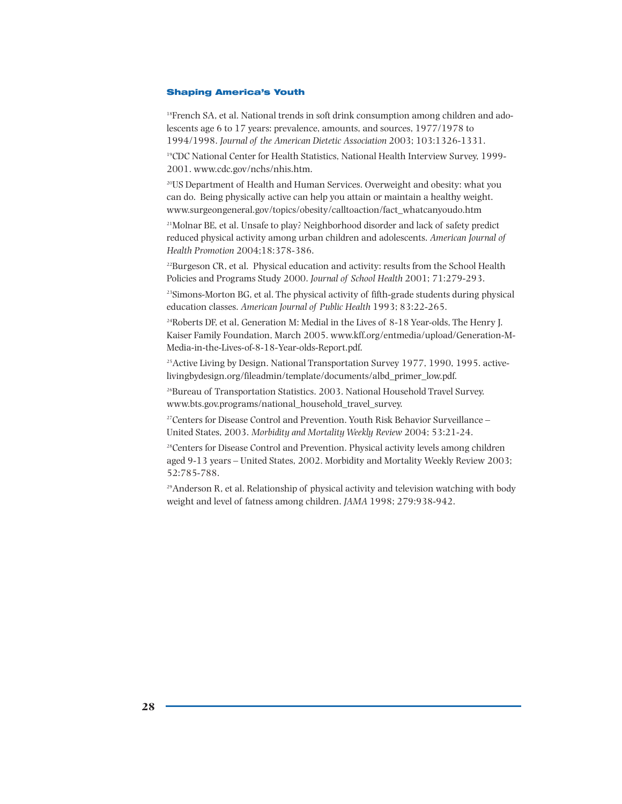<sup>18</sup>French SA, et al. National trends in soft drink consumption among children and adolescents age 6 to 17 years: prevalence, amounts, and sources, 1977/1978 to 1994/1998. *Journal of the American Dietetic Association* 2003; 103:1326-1331.

19CDC National Center for Health Statistics, National Health Interview Survey, 1999- 2001. www.cdc.gov/nchs/nhis.htm.

<sup>20</sup>US Department of Health and Human Services. Overweight and obesity: what you can do. Being physically active can help you attain or maintain a healthy weight. www.surgeongeneral.gov/topics/obesity/calltoaction/fact\_whatcanyoudo.htm

21Molnar BE, et al. Unsafe to play? Neighborhood disorder and lack of safety predict reduced physical activity among urban children and adolescents. *American Journal of Health Promotion* 2004;18:378-386.

<sup>22</sup>Burgeson CR, et al. Physical education and activity: results from the School Health Policies and Programs Study 2000. *Journal of School Health* 2001; 71:279-293.

23Simons-Morton BG, et al. The physical activity of fifth-grade students during physical education classes. *American Journal of Public Health* 1993; 83:22-265.

<sup>24</sup>Roberts DF, et al, Generation M: Medial in the Lives of 8-18 Year-olds, The Henry J. Kaiser Family Foundation, March 2005. www.kff.org/entmedia/upload/Generation-M-Media-in-the-Lives-of-8-18-Year-olds-Report.pdf.

<sup>25</sup> Active Living by Design. National Transportation Survey 1977, 1990, 1995. activelivingbydesign.org/fileadmin/template/documents/albd\_primer\_low.pdf.

<sup>26</sup>Bureau of Transportation Statistics. 2003. National Household Travel Survey. www.bts.gov.programs/national\_household\_travel\_survey.

<sup>27</sup>Centers for Disease Control and Prevention. Youth Risk Behavior Surveillance -United States, 2003. *Morbidity and Mortality Weekly Review* 2004; 53:21-24.

<sup>28</sup>Centers for Disease Control and Prevention. Physical activity levels among children aged 9-13 years – United States, 2002. Morbidity and Mortality Weekly Review 2003; 52:785-788.

<sup>29</sup>Anderson R, et al. Relationship of physical activity and television watching with body weight and level of fatness among children. *JAMA* 1998; 279:938-942.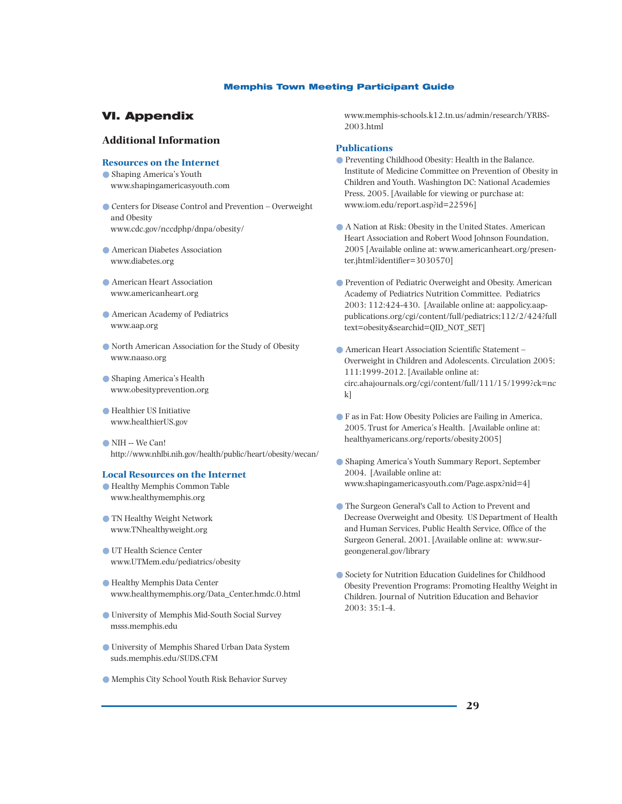### **VI. Appendix**

### **Additional Information**

#### **Resources on the Internet**

- Shaping America's Youth www.shapingamericasyouth.com
- Centers for Disease Control and Prevention Overweight and Obesity www.cdc.gov/nccdphp/dnpa/obesity/
- American Diabetes Association www.diabetes.org
- American Heart Association www.americanheart.org
- American Academy of Pediatrics www.aap.org
- North American Association for the Study of Obesity www.naaso.org
- Shaping America's Health www.obesityprevention.org
- Healthier US Initiative www.healthierUS.gov
- NIH -- We Can! http://www.nhlbi.nih.gov/health/public/heart/obesity/wecan/

### **Local Resources on the Internet**

- Healthy Memphis Common Table www.healthymemphis.org
- TN Healthy Weight Network www.TNhealthyweight.org
- UT Health Science Center www.UTMem.edu/pediatrics/obesity
- Healthy Memphis Data Center www.healthymemphis.org/Data\_Center.hmdc.0.html
- University of Memphis Mid-South Social Survey msss.memphis.edu
- University of Memphis Shared Urban Data System suds.memphis.edu/SUDS.CFM
- Memphis City School Youth Risk Behavior Survey

www.memphis-schools.k12.tn.us/admin/research/YRBS-2003.html

### **Publications**

- Preventing Childhood Obesity: Health in the Balance. Institute of Medicine Committee on Prevention of Obesity in Children and Youth. Washington DC: National Academies Press, 2005. [Available for viewing or purchase at: www.iom.edu/report.asp?id=22596]
- A Nation at Risk: Obesity in the United States. American Heart Association and Robert Wood Johnson Foundation, 2005 [Available online at: www.americanheart.org/presenter.jhtml?identifier=3030570]
- Prevention of Pediatric Overweight and Obesity. American Academy of Pediatrics Nutrition Committee. Pediatrics 2003: 112:424-430. [Available online at: aappolicy.aappublications.org/cgi/content/full/pediatrics;112/2/424?full text=obesity&searchid=QID\_NOT\_SET]
- American Heart Association Scientific Statement Overweight in Children and Adolescents. Circulation 2005; 111:1999-2012. [Available online at: circ.ahajournals.org/cgi/content/full/111/15/1999?ck=nc k]
- F as in Fat: How Obesity Policies are Failing in America, 2005. Trust for America's Health. [Available online at: healthyamericans.org/reports/obesity2005]
- Shaping America's Youth Summary Report, September 2004. [Available online at: www.shapingamericasyouth.com/Page.aspx?nid=4]
- The Surgeon General's Call to Action to Prevent and Decrease Overweight and Obesity. US Department of Health and Human Services, Public Health Service, Office of the Surgeon General, 2001. [Available online at: www.surgeongeneral.gov/library
- Society for Nutrition Education Guidelines for Childhood Obesity Prevention Programs: Promoting Healthy Weight in Children. Journal of Nutrition Education and Behavior 2003; 35:1-4.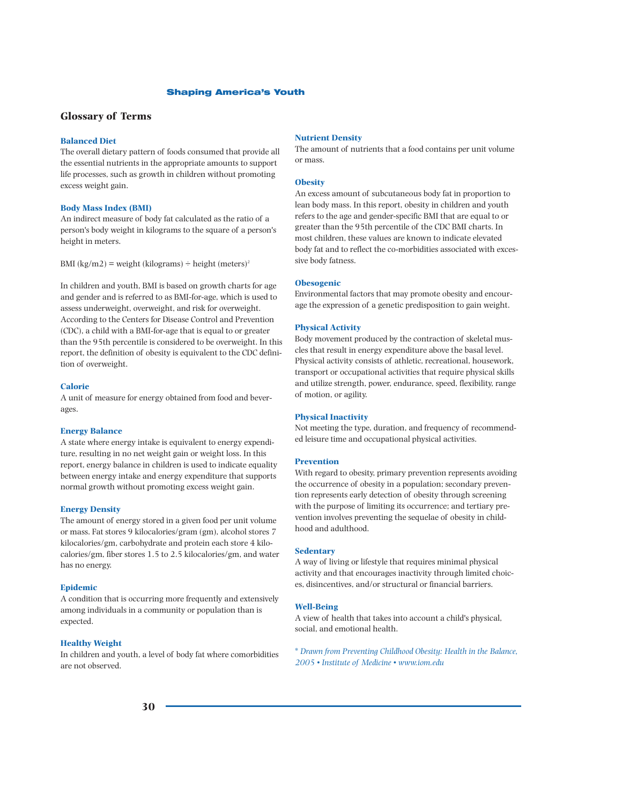### **Glossary of Terms**

### **Balanced Diet**

The overall dietary pattern of foods consumed that provide all the essential nutrients in the appropriate amounts to support life processes, such as growth in children without promoting excess weight gain.

#### **Body Mass Index (BMI)**

An indirect measure of body fat calculated as the ratio of a person's body weight in kilograms to the square of a person's height in meters.

BMI (kg/m2) = weight (kilograms) ÷ height (meters)<sup>2</sup>

In children and youth, BMI is based on growth charts for age and gender and is referred to as BMI-for-age, which is used to assess underweight, overweight, and risk for overweight. According to the Centers for Disease Control and Prevention (CDC), a child with a BMI-for-age that is equal to or greater than the 95th percentile is considered to be overweight. In this report, the definition of obesity is equivalent to the CDC definition of overweight.

### **Calorie**

A unit of measure for energy obtained from food and beverages.

#### **Energy Balance**

A state where energy intake is equivalent to energy expenditure, resulting in no net weight gain or weight loss. In this report, energy balance in children is used to indicate equality between energy intake and energy expenditure that supports normal growth without promoting excess weight gain.

### **Energy Density**

The amount of energy stored in a given food per unit volume or mass. Fat stores 9 kilocalories/gram (gm), alcohol stores 7 kilocalories/gm, carbohydrate and protein each store 4 kilocalories/gm, fiber stores 1.5 to 2.5 kilocalories/gm, and water has no energy.

### **Epidemic**

A condition that is occurring more frequently and extensively among individuals in a community or population than is expected.

### **Healthy Weight**

In children and youth, a level of body fat where comorbidities are not observed.

#### **Nutrient Density**

The amount of nutrients that a food contains per unit volume or mass.

### **Obesity**

An excess amount of subcutaneous body fat in proportion to lean body mass. In this report, obesity in children and youth refers to the age and gender-specific BMI that are equal to or greater than the 95th percentile of the CDC BMI charts. In most children, these values are known to indicate elevated body fat and to reflect the co-morbidities associated with excessive body fatness.

#### **Obesogenic**

Environmental factors that may promote obesity and encourage the expression of a genetic predisposition to gain weight.

#### **Physical Activity**

Body movement produced by the contraction of skeletal muscles that result in energy expenditure above the basal level. Physical activity consists of athletic, recreational, housework, transport or occupational activities that require physical skills and utilize strength, power, endurance, speed, flexibility, range of motion, or agility.

#### **Physical Inactivity**

Not meeting the type, duration, and frequency of recommended leisure time and occupational physical activities.

#### **Prevention**

With regard to obesity, primary prevention represents avoiding the occurrence of obesity in a population; secondary prevention represents early detection of obesity through screening with the purpose of limiting its occurrence; and tertiary prevention involves preventing the sequelae of obesity in childhood and adulthood.

### **Sedentary**

A way of living or lifestyle that requires minimal physical activity and that encourages inactivity through limited choices, disincentives, and/or structural or financial barriers.

#### **Well-Being**

A view of health that takes into account a child's physical, social, and emotional health.

\* *Drawn from Preventing Childhood Obesity: Health in the Balance, 2005 • Institute of Medicine • www.iom.edu*